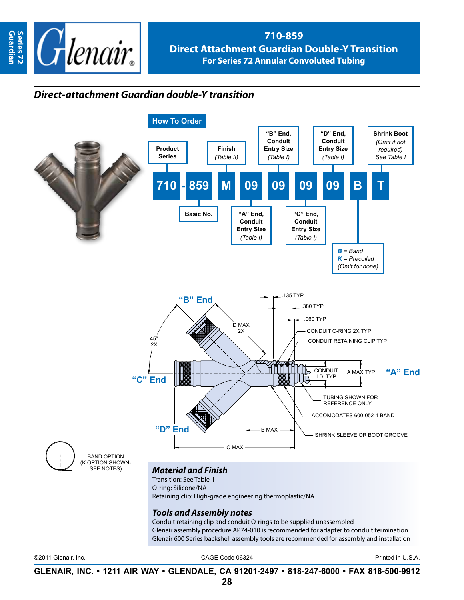

## **710-859 Direct Attachment Guardian Double-Y Transition For Series 72 Annular Convoluted Tubing**

## *Direct-attachment Guardian double-Y transition*



**GLENAIR, INC. • 1211 AIR WAY • GLENDALE, CA 91201-2497 • 818-247-6000 • FAX 818-500-9912**